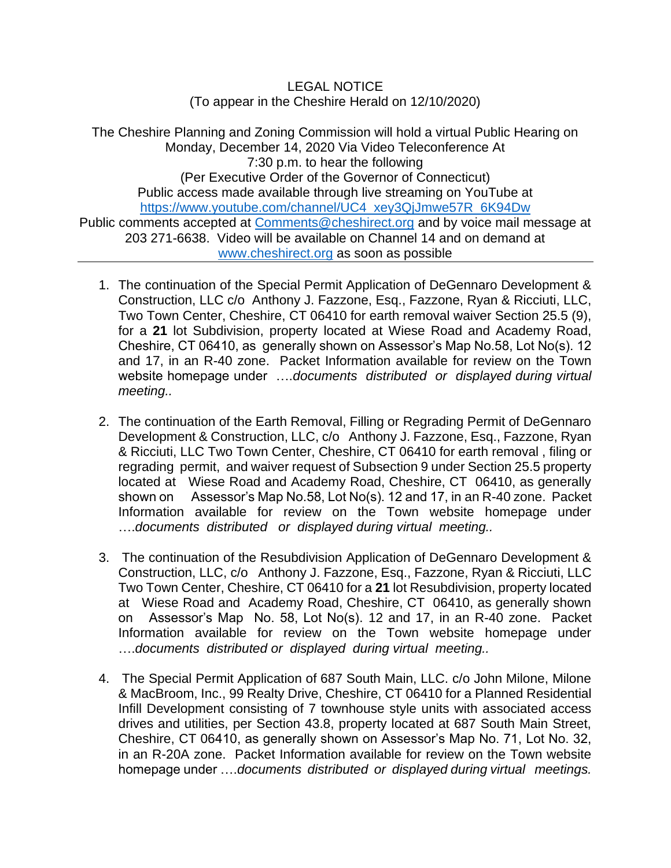LEGAL NOTICE (To appear in the Cheshire Herald on 12/10/2020)

The Cheshire Planning and Zoning Commission will hold a virtual Public Hearing on Monday, December 14, 2020 Via Video Teleconference At 7:30 p.m. to hear the following (Per Executive Order of the Governor of Connecticut) Public access made available through live streaming on YouTube at [https://www.youtube.com/channel/UC4\\_xey3QjJmwe57R\\_6K94Dw](https://www.youtube.com/channel/UC4_xey3QjJmwe57R_6K94Dw) Public comments accepted at [Comments@cheshirect.org](mailto:Comments@cheshirect.org) and by voice mail message at 203 271-6638. Video will be available on Channel 14 and on demand at [www.cheshirect.org](http://www.cheshirect.org/) as soon as possible

- 1. The continuation of the Special Permit Application of DeGennaro Development & Construction, LLC c/o Anthony J. Fazzone, Esq., Fazzone, Ryan & Ricciuti, LLC, Two Town Center, Cheshire, CT 06410 for earth removal waiver Section 25.5 (9), for a **21** lot Subdivision, property located at Wiese Road and Academy Road, Cheshire, CT 06410, as generally shown on Assessor's Map No.58, Lot No(s). 12 and 17, in an R-40 zone. Packet Information available for review on the Town website homepage under ….*documents distributed or displayed during virtual meeting..*
- 2. The continuation of the Earth Removal, Filling or Regrading Permit of DeGennaro Development & Construction, LLC, c/o Anthony J. Fazzone, Esq., Fazzone, Ryan & Ricciuti, LLC Two Town Center, Cheshire, CT 06410 for earth removal , filing or regrading permit, and waiver request of Subsection 9 under Section 25.5 property located at Wiese Road and Academy Road, Cheshire, CT 06410, as generally shown on Assessor's Map No.58, Lot No(s). 12 and 17, in an R-40 zone. Packet Information available for review on the Town website homepage under ….*documents distributed or displayed during virtual meeting..*
- 3. The continuation of the Resubdivision Application of DeGennaro Development & Construction, LLC, c/o Anthony J. Fazzone, Esq., Fazzone, Ryan & Ricciuti, LLC Two Town Center, Cheshire, CT 06410 for a **21** lot Resubdivision, property located at Wiese Road and Academy Road, Cheshire, CT 06410, as generally shown on Assessor's Map No. 58, Lot No(s). 12 and 17, in an R-40 zone. Packet Information available for review on the Town website homepage under ….*documents distributed or displayed during virtual meeting..*
- 4. The Special Permit Application of 687 South Main, LLC. c/o John Milone, Milone & MacBroom, Inc., 99 Realty Drive, Cheshire, CT 06410 for a Planned Residential Infill Development consisting of 7 townhouse style units with associated access drives and utilities, per Section 43.8, property located at 687 South Main Street, Cheshire, CT 06410, as generally shown on Assessor's Map No. 71, Lot No. 32, in an R-20A zone. Packet Information available for review on the Town website homepage under ….*documents distributed or displayed during virtual meetings.*